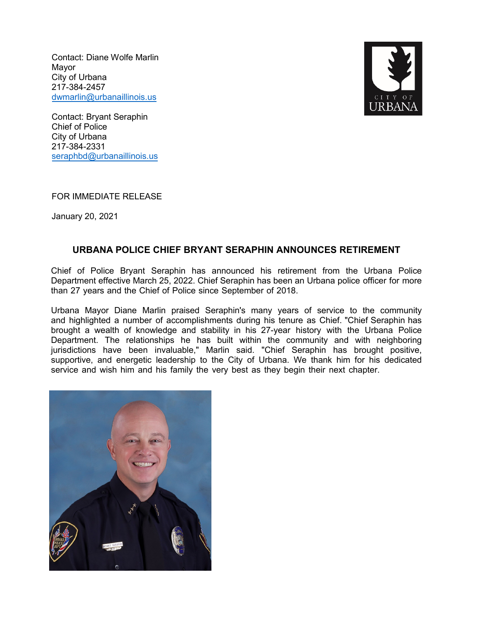Contact: Diane Wolfe Marlin Mayor City of Urbana 217-384-2457 dwmarlin@urb[anaillinois.us](mailto:dwmarlin@urbanaillinois.us)



Contact: Bryant Seraphin Chief of Police City of Urbana 217-384-2331 seraphbd@urb[anaillinois.us](mailto:seraphbd@urbanaillinois.us)

FOR IMMEDIATE RELEASE

January 20, 2021

## **URBANA POLICE CHIEF BRYANT SERAPHIN ANNOUNCES RETIREMENT**

Chief of Police Bryant Seraphin has announced his retirement from the Urbana Police Department effective March 25, 2022. Chief Seraphin has been an Urbana police officer for more than 27 years and the Chief of Police since September of 2018.

Urbana Mayor Diane Marlin praised Seraphin's many years of service to the community and highlighted a number of accomplishments during his tenure as Chief. "Chief Seraphin has brought a wealth of knowledge and stability in his 27-year history with the Urbana Police Department. The relationships he has built within the community and with neighboring jurisdictions have been invaluable," Marlin said. "Chief Seraphin has brought positive, supportive, and energetic leadership to the City of Urbana. We thank him for his dedicated service and wish him and his family the very best as they begin their next chapter.

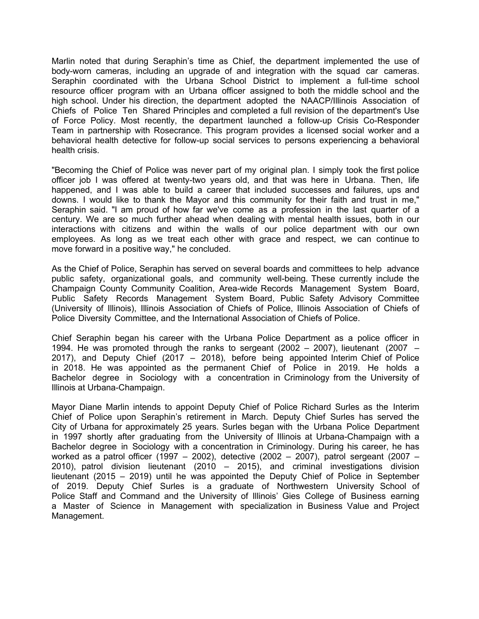Marlin noted that during Seraphin's time as Chief, the department implemented the use of body-worn cameras, including an upgrade of and integration with the squad car cameras. Seraphin coordinated with the Urbana School District to implement a full-time school resource officer program with an Urbana officer assigned to both the middle school and the high school. Under his direction, the department adopted the NAACP/Illinois Association of Chiefs of Police Ten Shared Principles and completed a full revision of the department's Use of Force Policy. Most recently, the department launched a follow-up Crisis Co-Responder Team in partnership with Rosecrance. This program provides a licensed social worker and a behavioral health detective for follow-up social services to persons experiencing a behavioral health crisis.

"Becoming the Chief of Police was never part of my original plan. I simply took the first police officer job I was offered at twenty-two years old, and that was here in Urbana. Then, life happened, and I was able to build a career that included successes and failures, ups and downs. I would like to thank the Mayor and this community for their faith and trust in me," Seraphin said. "I am proud of how far we've come as a profession in the last quarter of a century. We are so much further ahead when dealing with mental health issues, both in our interactions with citizens and within the walls of our police department with our own employees. As long as we treat each other with grace and respect, we can continue to move forward in a positive way," he concluded.

As the Chief of Police, Seraphin has served on several boards and committees to help advance public safety, organizational goals, and community well-being. These currently include the Champaign County Community Coalition, Area-wide Records Management System Board, Public Safety Records Management System Board, Public Safety Advisory Committee (University of Illinois), Illinois Association of Chiefs of Police, Illinois Association of Chiefs of Police Diversity Committee, and the International Association of Chiefs of Police.

Chief Seraphin began his career with the Urbana Police Department as a police officer in 1994. He was promoted through the ranks to sergeant (2002 – 2007), lieutenant (2007 – 2017), and Deputy Chief (2017 – 2018), before being appointed Interim Chief of Police in 2018. He was appointed as the permanent Chief of Police in 2019. He holds a Bachelor degree in Sociology with a concentration in Criminology from the University of Illinois at Urbana-Champaign.

Mayor Diane Marlin intends to appoint Deputy Chief of Police Richard Surles as the Interim Chief of Police upon Seraphin's retirement in March. Deputy Chief Surles has served the City of Urbana for approximately 25 years. Surles began with the Urbana Police Department in 1997 shortly after graduating from the University of Illinois at Urbana-Champaign with a Bachelor degree in Sociology with a concentration in Criminology. During his career, he has worked as a patrol officer (1997 – 2002), detective (2002 – 2007), patrol sergeant (2007 – 2010), patrol division lieutenant (2010 – 2015), and criminal investigations division lieutenant (2015 – 2019) until he was appointed the Deputy Chief of Police in September of 2019. Deputy Chief Surles is a graduate of Northwestern University School of Police Staff and Command and the University of Illinois' Gies College of Business earning a Master of Science in Management with specialization in Business Value and Project Management.